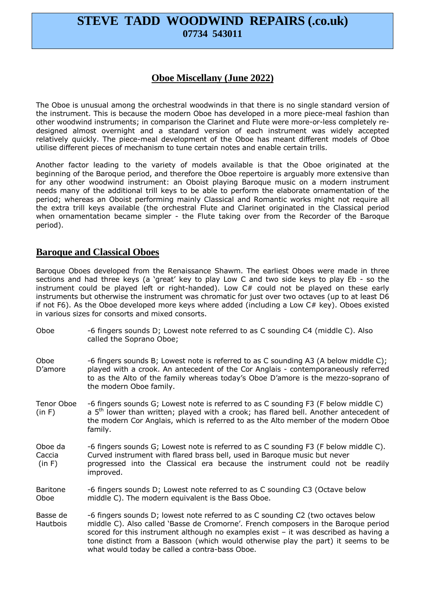# **STEVE TADD WOODWIND REPAIRS (.co.uk) 07734 543011**

## **Oboe Miscellany (June 2022)**

The Oboe is unusual among the orchestral woodwinds in that there is no single standard version of the instrument. This is because the modern Oboe has developed in a more piece-meal fashion than other woodwind instruments; in comparison the Clarinet and Flute were more-or-less completely redesigned almost overnight and a standard version of each instrument was widely accepted relatively quickly. The piece-meal development of the Oboe has meant different models of Oboe utilise different pieces of mechanism to tune certain notes and enable certain trills.

Another factor leading to the variety of models available is that the Oboe originated at the beginning of the Baroque period, and therefore the Oboe repertoire is arguably more extensive than for any other woodwind instrument: an Oboist playing Baroque music on a modern instrument needs many of the additional trill keys to be able to perform the elaborate ornamentation of the period; whereas an Oboist performing mainly Classical and Romantic works might not require all the extra trill keys available (the orchestral Flute and Clarinet originated in the Classical period when ornamentation became simpler - the Flute taking over from the Recorder of the Baroque period).

#### **Baroque and Classical Oboes**

Baroque Oboes developed from the Renaissance Shawm. The earliest Oboes were made in three sections and had three keys (a 'great' key to play Low C and two side keys to play Eb - so the instrument could be played left or right-handed). Low C# could not be played on these early instruments but otherwise the instrument was chromatic for just over two octaves (up to at least D6 if not F6). As the Oboe developed more keys where added (including a Low C# key). Oboes existed in various sizes for consorts and mixed consorts.

| Oboe                        | -6 fingers sounds D; Lowest note referred to as C sounding C4 (middle C). Also<br>called the Soprano Oboe;                                                                                                                                                                                                                                                                                              |
|-----------------------------|---------------------------------------------------------------------------------------------------------------------------------------------------------------------------------------------------------------------------------------------------------------------------------------------------------------------------------------------------------------------------------------------------------|
| Oboe<br>D'amore             | -6 fingers sounds B; Lowest note is referred to as C sounding A3 (A below middle C);<br>played with a crook. An antecedent of the Cor Anglais - contemporaneously referred<br>to as the Alto of the family whereas today's Oboe D'amore is the mezzo-soprano of<br>the modern Oboe family.                                                                                                              |
| Tenor Oboe<br>(in F)        | -6 fingers sounds G; Lowest note is referred to as C sounding F3 (F below middle C)<br>a $5th$ lower than written; played with a crook; has flared bell. Another antecedent of<br>the modern Cor Anglais, which is referred to as the Alto member of the modern Oboe<br>family.                                                                                                                         |
| Oboe da<br>Caccia<br>(in F) | -6 fingers sounds G; Lowest note is referred to as C sounding F3 (F below middle C).<br>Curved instrument with flared brass bell, used in Baroque music but never<br>progressed into the Classical era because the instrument could not be readily<br>improved.                                                                                                                                         |
| <b>Baritone</b><br>Oboe     | -6 fingers sounds D; Lowest note referred to as C sounding C3 (Octave below<br>middle C). The modern equivalent is the Bass Oboe.                                                                                                                                                                                                                                                                       |
| Basse de<br>Hautbois        | -6 fingers sounds D; lowest note referred to as C sounding C2 (two octaves below<br>middle C). Also called 'Basse de Cromorne'. French composers in the Baroque period<br>scored for this instrument although no examples exist $-$ it was described as having a<br>tone distinct from a Bassoon (which would otherwise play the part) it seems to be<br>what would today be called a contra-bass Oboe. |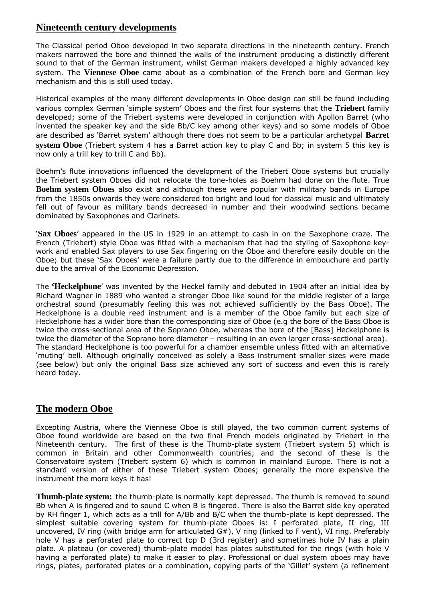### **Nineteenth century developments**

The Classical period Oboe developed in two separate directions in the nineteenth century. French makers narrowed the bore and thinned the walls of the instrument producing a distinctly different sound to that of the German instrument, whilst German makers developed a highly advanced key system. The **Viennese Oboe** came about as a combination of the French bore and German key mechanism and this is still used today.

Historical examples of the many different developments in Oboe design can still be found including various complex German 'simple system' Oboes and the first four systems that the **Triebert** family developed; some of the Triebert systems were developed in conjunction with Apollon Barret (who invented the speaker key and the side Bb/C key among other keys) and so some models of Oboe are described as 'Barret system' although there does not seem to be a particular archetypal **Barret system Oboe** (Triebert system 4 has a Barret action key to play C and Bb; in system 5 this key is now only a trill key to trill C and Bb).

Boehm's flute innovations influenced the development of the Triebert Oboe systems but crucially the Triebert system Oboes did not relocate the tone-holes as Boehm had done on the flute. True **Boehm system Oboes** also exist and although these were popular with military bands in Europe from the 1850s onwards they were considered too bright and loud for classical music and ultimately fell out of favour as military bands decreased in number and their woodwind sections became dominated by Saxophones and Clarinets.

'**Sax Oboes**' appeared in the US in 1929 in an attempt to cash in on the Saxophone craze. The French (Triebert) style Oboe was fitted with a mechanism that had the styling of Saxophone keywork and enabled Sax players to use Sax fingering on the Oboe and therefore easily double on the Oboe; but these 'Sax Oboes' were a failure partly due to the difference in embouchure and partly due to the arrival of the Economic Depression.

The **'Heckelphone**' was invented by the Heckel family and debuted in 1904 after an initial idea by Richard Wagner in 1889 who wanted a stronger Oboe like sound for the middle register of a large orchestral sound (presumably feeling this was not achieved sufficiently by the Bass Oboe). The Heckelphone is a double reed instrument and is a member of the Oboe family but each size of Heckelphone has a wider bore than the corresponding size of Oboe (e.g the bore of the Bass Oboe is twice the cross-sectional area of the Soprano Oboe, whereas the bore of the [Bass] Heckelphone is twice the diameter of the Soprano bore diameter – resulting in an even larger cross-sectional area). The standard Heckelphone is too powerful for a chamber ensemble unless fitted with an alternative 'muting' bell. Although originally conceived as solely a Bass instrument smaller sizes were made (see below) but only the original Bass size achieved any sort of success and even this is rarely heard today.

#### **The modern Oboe**

Excepting Austria, where the Viennese Oboe is still played, the two common current systems of Oboe found worldwide are based on the two final French models originated by Triebert in the Nineteenth century. The first of these is the Thumb-plate system (Triebert system 5) which is common in Britain and other Commonwealth countries; and the second of these is the Conservatoire system (Triebert system 6) which is common in mainland Europe. There is not a standard version of either of these Triebert system Oboes; generally the more expensive the instrument the more keys it has!

**Thumb-plate system:** the thumb-plate is normally kept depressed. The thumb is removed to sound Bb when A is fingered and to sound C when B is fingered. There is also the Barret side key operated by RH finger 1, which acts as a trill for A/Bb and B/C when the thumb-plate is kept depressed. The simplest suitable covering system for thumb-plate Oboes is: I perforated plate, II ring, III uncovered, IV ring (with bridge arm for articulated G#), V ring (linked to F vent), VI ring. Preferably hole V has a perforated plate to correct top D (3rd register) and sometimes hole IV has a plain plate. A plateau (or covered) thumb-plate model has plates substituted for the rings (with hole V having a perforated plate) to make it easier to play. Professional or dual system oboes may have rings, plates, perforated plates or a combination, copying parts of the 'Gillet' system (a refinement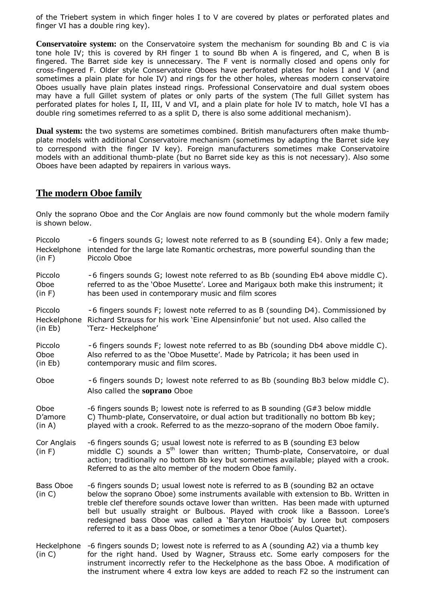of the Triebert system in which finger holes I to V are covered by plates or perforated plates and finger VI has a double ring key).

**Conservatoire system:** on the Conservatoire system the mechanism for sounding Bb and C is via tone hole IV; this is covered by RH finger 1 to sound Bb when A is fingered, and C, when B is fingered. The Barret side key is unnecessary. The F vent is normally closed and opens only for cross-fingered F. Older style Conservatoire Oboes have perforated plates for holes I and V (and sometimes a plain plate for hole IV) and rings for the other holes, whereas modern conservatoire Oboes usually have plain plates instead rings. Professional Conservatoire and dual system oboes may have a full Gillet system of plates or only parts of the system (The full Gillet system has perforated plates for holes I, II, III, V and VI, and a plain plate for hole IV to match, hole VI has a double ring sometimes referred to as a split D, there is also some additional mechanism).

**Dual system:** the two systems are sometimes combined. British manufacturers often make thumbplate models with additional Conservatoire mechanism (sometimes by adapting the Barret side key to correspond with the finger IV key). Foreign manufacturers sometimes make Conservatoire models with an additional thumb-plate (but no Barret side key as this is not necessary). Also some Oboes have been adapted by repairers in various ways.

#### **The modern Oboe family**

Only the soprano Oboe and the Cor Anglais are now found commonly but the whole modern family is shown below.

| Piccolo<br>Heckelphone<br>(in F) | -6 fingers sounds G; lowest note referred to as B (sounding E4). Only a few made;<br>intended for the large late Romantic orchestras, more powerful sounding than the<br>Piccolo Oboe                                                                                                                                                                                                                                                                                                                          |
|----------------------------------|----------------------------------------------------------------------------------------------------------------------------------------------------------------------------------------------------------------------------------------------------------------------------------------------------------------------------------------------------------------------------------------------------------------------------------------------------------------------------------------------------------------|
| Piccolo<br>Oboe<br>(in F)        | -6 fingers sounds G; lowest note referred to as Bb (sounding Eb4 above middle C).<br>referred to as the 'Oboe Musette'. Loree and Marigaux both make this instrument; it<br>has been used in contemporary music and film scores                                                                                                                                                                                                                                                                                |
| Piccolo<br>(in Eb)               | -6 fingers sounds F; lowest note referred to as B (sounding D4). Commissioned by<br>Heckelphone Richard Strauss for his work 'Eine Alpensinfonie' but not used. Also called the<br>'Terz- Heckelphone'                                                                                                                                                                                                                                                                                                         |
| Piccolo<br>Oboe<br>(in Eb)       | -6 fingers sounds F; lowest note referred to as Bb (sounding Db4 above middle C).<br>Also referred to as the 'Oboe Musette'. Made by Patricola; it has been used in<br>contemporary music and film scores.                                                                                                                                                                                                                                                                                                     |
| Oboe                             | -6 fingers sounds D; lowest note referred to as Bb (sounding Bb3 below middle C).<br>Also called the soprano Oboe                                                                                                                                                                                                                                                                                                                                                                                              |
| Oboe<br>D'amore<br>(in A)        | -6 fingers sounds B; lowest note is referred to as B sounding (G#3 below middle<br>C) Thumb-plate, Conservatoire, or dual action but traditionally no bottom Bb key;<br>played with a crook. Referred to as the mezzo-soprano of the modern Oboe family.                                                                                                                                                                                                                                                       |
| Cor Anglais<br>(in F)            | -6 fingers sounds G; usual lowest note is referred to as B (sounding E3 below<br>middle C) sounds a 5 <sup>th</sup> lower than written; Thumb-plate, Conservatoire, or dual<br>action; traditionally no bottom Bb key but sometimes available; played with a crook.<br>Referred to as the alto member of the modern Oboe family.                                                                                                                                                                               |
| <b>Bass Oboe</b><br>(in C)       | -6 fingers sounds D; usual lowest note is referred to as B (sounding B2 an octave<br>below the soprano Oboe) some instruments available with extension to Bb. Written in<br>treble clef therefore sounds octave lower than written. Has been made with upturned<br>bell but usually straight or Bulbous. Played with crook like a Bassoon. Loree's<br>redesigned bass Oboe was called a 'Baryton Hautbois' by Loree but composers<br>referred to it as a bass Oboe, or sometimes a tenor Oboe (Aulos Quartet). |
| Heckelphone<br>(in C)            | -6 fingers sounds D; lowest note is referred to as A (sounding A2) via a thumb key<br>for the right hand. Used by Wagner, Strauss etc. Some early composers for the<br>instrument incorrectly refer to the Heckelphone as the bass Oboe. A modification of<br>the instrument where 4 extra low keys are added to reach F2 so the instrument can                                                                                                                                                                |